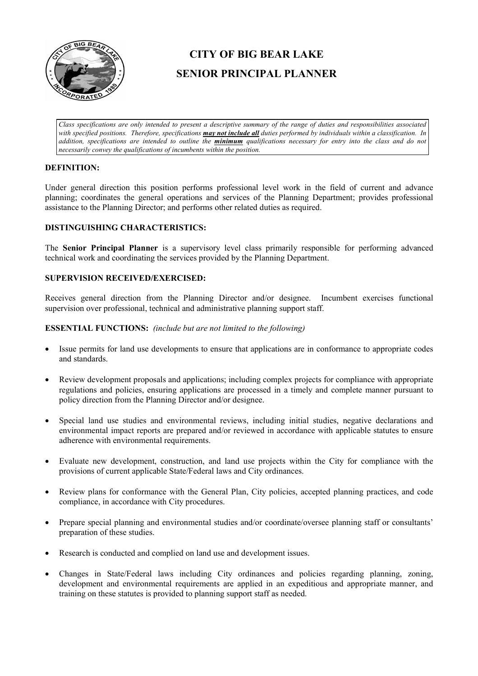

# **CITY OF BIG BEAR LAKE SENIOR PRINCIPAL PLANNER**

*Class specifications are only intended to present a descriptive summary of the range of duties and responsibilities associated with specified positions. Therefore, specifications may not include all duties performed by individuals within a classification. In addition, specifications are intended to outline the minimum qualifications necessary for entry into the class and do not necessarily convey the qualifications of incumbents within the position.*

## **DEFINITION:**

Under general direction this position performs professional level work in the field of current and advance planning; coordinates the general operations and services of the Planning Department; provides professional assistance to the Planning Director; and performs other related duties as required.

## **DISTINGUISHING CHARACTERISTICS:**

The **Senior Principal Planner** is a supervisory level class primarily responsible for performing advanced technical work and coordinating the services provided by the Planning Department.

# **SUPERVISION RECEIVED/EXERCISED:**

Receives general direction from the Planning Director and/or designee. Incumbent exercises functional supervision over professional, technical and administrative planning support staff.

### **ESSENTIAL FUNCTIONS:** *(include but are not limited to the following)*

- Issue permits for land use developments to ensure that applications are in conformance to appropriate codes and standards.
- Review development proposals and applications; including complex projects for compliance with appropriate regulations and policies, ensuring applications are processed in a timely and complete manner pursuant to policy direction from the Planning Director and/or designee.
- Special land use studies and environmental reviews, including initial studies, negative declarations and environmental impact reports are prepared and/or reviewed in accordance with applicable statutes to ensure adherence with environmental requirements.
- Evaluate new development, construction, and land use projects within the City for compliance with the provisions of current applicable State/Federal laws and City ordinances.
- Review plans for conformance with the General Plan, City policies, accepted planning practices, and code compliance, in accordance with City procedures.
- Prepare special planning and environmental studies and/or coordinate/oversee planning staff or consultants' preparation of these studies.
- Research is conducted and complied on land use and development issues.
- Changes in State/Federal laws including City ordinances and policies regarding planning, zoning, development and environmental requirements are applied in an expeditious and appropriate manner, and training on these statutes is provided to planning support staff as needed.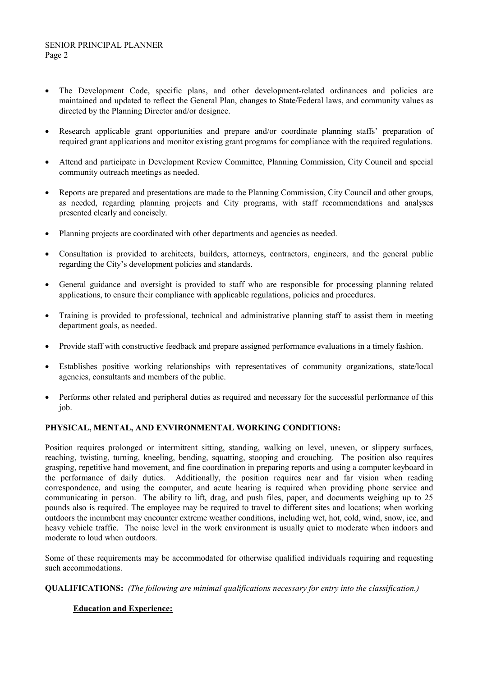- The Development Code, specific plans, and other development-related ordinances and policies are maintained and updated to reflect the General Plan, changes to State/Federal laws, and community values as directed by the Planning Director and/or designee.
- Research applicable grant opportunities and prepare and/or coordinate planning staffs' preparation of required grant applications and monitor existing grant programs for compliance with the required regulations.
- Attend and participate in Development Review Committee, Planning Commission, City Council and special community outreach meetings as needed.
- Reports are prepared and presentations are made to the Planning Commission, City Council and other groups, as needed, regarding planning projects and City programs, with staff recommendations and analyses presented clearly and concisely.
- Planning projects are coordinated with other departments and agencies as needed.
- Consultation is provided to architects, builders, attorneys, contractors, engineers, and the general public regarding the City's development policies and standards.
- General guidance and oversight is provided to staff who are responsible for processing planning related applications, to ensure their compliance with applicable regulations, policies and procedures.
- Training is provided to professional, technical and administrative planning staff to assist them in meeting department goals, as needed.
- Provide staff with constructive feedback and prepare assigned performance evaluations in a timely fashion.
- Establishes positive working relationships with representatives of community organizations, state/local agencies, consultants and members of the public.
- Performs other related and peripheral duties as required and necessary for the successful performance of this job.

## **PHYSICAL, MENTAL, AND ENVIRONMENTAL WORKING CONDITIONS:**

Position requires prolonged or intermittent sitting, standing, walking on level, uneven, or slippery surfaces, reaching, twisting, turning, kneeling, bending, squatting, stooping and crouching. The position also requires grasping, repetitive hand movement, and fine coordination in preparing reports and using a computer keyboard in the performance of daily duties. Additionally, the position requires near and far vision when reading correspondence, and using the computer, and acute hearing is required when providing phone service and communicating in person. The ability to lift, drag, and push files, paper, and documents weighing up to 25 pounds also is required. The employee may be required to travel to different sites and locations; when working outdoors the incumbent may encounter extreme weather conditions, including wet, hot, cold, wind, snow, ice, and heavy vehicle traffic. The noise level in the work environment is usually quiet to moderate when indoors and moderate to loud when outdoors.

Some of these requirements may be accommodated for otherwise qualified individuals requiring and requesting such accommodations.

**QUALIFICATIONS:** *(The following are minimal qualifications necessary for entry into the classification.)*

# **Education and Experience:**